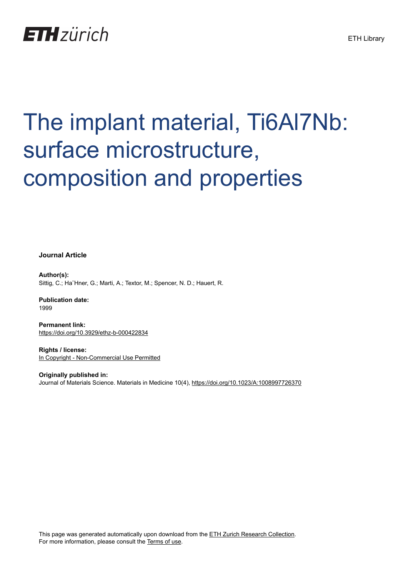

# The implant material, Ti6Al7Nb: surface microstructure, composition and properties

**Journal Article**

**Author(s):** Sittig, C.; Ha¨Hner, G.; Marti, A.; Textor, M.; Spencer, N. D.; Hauert, R.

**Publication date:** 1999

**Permanent link:** <https://doi.org/10.3929/ethz-b-000422834>

**Rights / license:** [In Copyright - Non-Commercial Use Permitted](http://rightsstatements.org/page/InC-NC/1.0/)

**Originally published in:** Journal of Materials Science. Materials in Medicine 10(4), <https://doi.org/10.1023/A:1008997726370>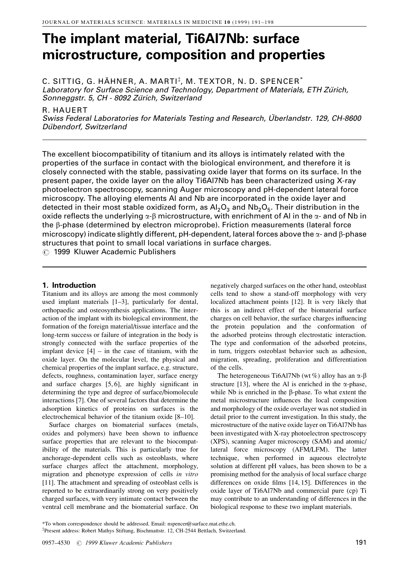# The implant material, Ti6Al7Nb: surface microstructure, composition and properties

C. SITTIG, G. HÄHNER, A. MARTI $^\ddag$ , M. TEXTOR, N. D. SPENCER $^*$ Laboratory for Surface Science and Technology, Department of Materials, ETH Zürich, Sonneggstr. 5, CH - 8092 Zürich, Switzerland

R. HAUERT

Swiss Federal Laboratories for Materials Testing and Research, Überlandstr. 129, CH-8600 Dübendorf, Switzerland

The excellent biocompatibility of titanium and its alloys is intimately related with the properties of the surface in contact with the biological environment, and therefore it is closely connected with the stable, passivating oxide layer that forms on its surface. In the present paper, the oxide layer on the alloy Ti6Al7Nb has been characterized using X-ray photoelectron spectroscopy, scanning Auger microscopy and pH-dependent lateral force microscopy. The alloying elements Al and Nb are incorporated in the oxide layer and detected in their most stable oxidized form, as  $Al_2O_3$  and  $Nb_2O_5$ . Their distribution in the oxide reflects the underlying  $\alpha$ - $\beta$  microstructure, with enrichment of Al in the  $\alpha$ - and of Nb in the  $\beta$ -phase (determined by electron microprobe). Friction measurements (lateral force microscopy) indicate slightly different, pH-dependent, lateral forces above the  $\alpha$ - and  $\beta$ -phase structures that point to small local variations in surface charges.

 $\circledcirc$  1999 Kluwer Academic Publishers

# 1. Introduction

Titanium and its alloys are among the most commonly used implant materials  $[1-3]$ , particularly for dental, orthopaedic and osteosynthesis applications. The interaction of the implant with its biological environment, the formation of the foreign material/tissue interface and the long-term success or failure of integration in the body is strongly connected with the surface properties of the implant device  $[4]$  – in the case of titanium, with the oxide layer. On the molecular level, the physical and chemical properties of the implant surface, e.g. structure, defects, roughness, contamination layer, surface energy and surface charges  $[5, 6]$ , are highly significant in determining the type and degree of surface/biomolecule interactions [7]. One of several factors that determine the adsorption kinetics of proteins on surfaces is the electrochemical behavior of the titanium oxide  $[8-10]$ .

Surface charges on biomaterial surfaces (metals, oxides and polymers) have been shown to influence surface properties that are relevant to the biocompatibility of the materials. This is particularly true for anchorage-dependent cells such as osteoblasts, where surface charges affect the attachment, morphology, migration and phenotype expression of cells in vitro [11]. The attachment and spreading of osteoblast cells is reported to be extraordinarily strong on very positively charged surfaces, with very intimate contact between the ventral cell membrane and the biomaterial surface. On negatively charged surfaces on the other hand, osteoblast cells tend to show a stand-off morphology with very localized attachment points [12]. It is very likely that this is an indirect effect of the biomaterial surface charges on cell behavior, the surface charges influencing the protein population and the conformation of the adsorbed proteins through electrostatic interaction. The type and conformation of the adsorbed proteins, in turn, triggers osteoblast behavior such as adhesion, migration, spreading, proliferation and differentiation of the cells.

The heterogeneous Ti6Al7Nb (wt%) alloy has an  $\alpha$ - $\beta$ structure [13], where the Al is enriched in the  $\alpha$ -phase, while Nb is enriched in the  $\beta$ -phase. To what extent the metal microstructure influences the local composition and morphology of the oxide overlayer was not studied in detail prior to the current investigation. In this study, the microstructure of the native oxide layer on Ti6Al7Nb has been investigated with X-ray photoelectron spectroscopy (XPS), scanning Auger microscopy (SAM) and atomic/ lateral force microscopy (AFM/LFM). The latter technique, when performed in aqueous electrolyte solution at different pH values, has been shown to be a promising method for the analysis of local surface charge differences on oxide films  $[14, 15]$ . Differences in the oxide layer of Ti6Al7Nb and commercial pure (cp) Ti may contribute to an understanding of differences in the biological response to these two implant materials.

<sup>\*</sup>To whom correspondence should be addressed. Email: nspencer@surface.mat.ethz.ch.

<sup>{</sup> Present address: Robert Mathys Stiftung, Bischmattstr. 12, CH-2544 Bettlach, Switzerland.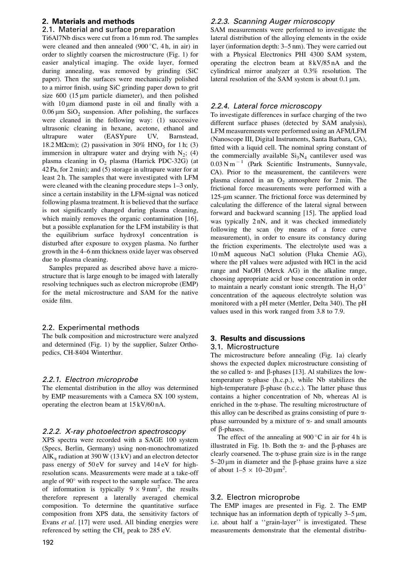# 2. Materials and methods

# 2.1. Material and surface preparation

Ti6Al7Nb discs were cut from a 16 mm rod. The samples were cleaned and then annealed  $(900\degree C, 4 h, in air)$  in order to slightly coarsen the microstructure (Fig. 1) for easier analytical imaging. The oxide layer, formed during annealing, was removed by grinding (SiC paper). Then the surfaces were mechanically polished to a mirror finish, using SiC grinding paper down to grit size  $600$  (15  $\mu$ m particle diameter), and then polished with  $10 \mu m$  diamond paste in oil and finally with a  $0.06 \,\mu m$  SiO<sub>2</sub> suspension. After polishing, the surfaces were cleaned in the following way: (1) successive ultrasonic cleaning in hexane, acetone, ethanol and ultrapure water (EASYpure UV, Barnstead, 18.2 M $\Omega$ cm); (2) passivation in 30% HNO<sub>3</sub> for 1 h; (3) immersion in ultrapure water and drying with  $N_2$ ; (4) plasma cleaning in  $O<sub>2</sub>$  plasma (Harrick PDC-32G) (at 42 Pa, for 2 min); and (5) storage in ultrapure water for at least 2 h. The samples that were investigated with LFM were cleaned with the cleaning procedure steps  $1-3$  only, since a certain instability in the LFM-signal was noticed following plasma treatment. It is believed that the surface is not significantly changed during plasma cleaning, which mainly removes the organic contamination [16], but a possible explanation for the LFM instability is that the equilibrium surface hydroxyl concentration is disturbed after exposure to oxygen plasma. No further growth in the 4–6 nm thickness oxide layer was observed due to plasma cleaning.

Samples prepared as described above have a microstructure that is large enough to be imaged with laterally resolving techniques such as electron microprobe (EMP) for the metal microstructure and SAM for the native oxide film.

#### 2.2. Experimental methods

The bulk composition and microstructure were analyzed and determined (Fig. 1) by the supplier, Sulzer Orthopedics, CH-8404 Winterthur.

#### 2.2.1. Electron microprobe

The elemental distribution in the alloy was determined by EMP measurements with a Cameca SX 100 system, operating the electron beam at 15 kV/60 nA.

#### 2.2.2. X-ray photoelectron spectroscopy

XPS spectra were recorded with a SAGE 100 system (Specs, Berlin, Germany) using non-monochromatized  $AIK<sub>α</sub>$  radiation at 390 W (13 kV) and an electron detector pass energy of 50 eV for survey and 14 eV for highresolution scans. Measurements were made at a take-off angle of 90° with respect to the sample surface. The area of information is typically  $9 \times 9$  mm<sup>2</sup>, the results therefore represent a laterally averaged chemical composition. To determine the quantitative surface composition from XPS data, the sensitivity factors of Evans et al. [17] were used. All binding energies were referenced by setting the  $CH<sub>x</sub>$  peak to 285 eV.

# 2.2.3. Scanning Auger microscopy

SAM measurements were performed to investigate the lateral distribution of the alloying elements in the oxide layer (information depth: 3-5 nm). They were carried out with a Physical Electronics PHI 4300 SAM system, operating the electron beam at 8 kV/85 nA and the cylindrical mirror analyzer at 0.3% resolution. The lateral resolution of the SAM system is about  $0.1 \,\mu\text{m}$ .

# 2.2.4. Lateral force microscopy

To investigate differences in surface charging of the two different surface phases (detected by SAM analysis), LFM measurements were performed using an AFM/LFM (Nanoscope III, Digital Instruments, Santa Barbara, CA), fitted with a liquid cell. The nominal spring constant of the commercially available  $Si<sub>3</sub>N<sub>4</sub>$  cantilever used was  $0.03$  N m<sup>-1</sup> (Park Scientific Instruments, Sunnyvale, CA). Prior to the measurement, the cantilevers were plasma cleaned in an  $O<sub>2</sub>$  atmosphere for 2 min. The frictional force measurements were performed with a 125-um scanner. The frictional force was determined by calculating the difference of the lateral signal between forward and backward scanning [15]. The applied load was typically 2 nN, and it was checked immediately following the scan (by means of a force curve measurement), in order to ensure its constancy during the friction experiments. The electrolyte used was a 10 mM aqueous NaCl solution (Fluka Chemie AG), where the pH values were adjusted with HCl in the acid range and NaOH (Merck AG) in the alkaline range, choosing appropriate acid or base concentration in order to maintain a nearly constant ionic strength. The  $H_3O^+$ concentration of the aqueous electrolyte solution was monitored with a pH meter (Mettler, Delta 340). The pH values used in this work ranged from 3.8 to 7.9.

# 3. Results and discussions 3.1. Microstructure

The microstructure before annealing (Fig. 1a) clearly shows the expected duplex microstructure consisting of the so called  $\alpha$ - and  $\beta$ -phases [13]. Al stabilizes the lowtemperature  $\alpha$ -phase (h.c.p.), while Nb stabilizes the high-temperature  $\beta$ -phase (b.c.c.). The latter phase thus contains a higher concentration of Nb, whereas Al is enriched in the  $\alpha$ -phase. The resulting microstructure of this alloy can be described as grains consisting of pure  $\alpha$ phase surrounded by a mixture of  $\alpha$ - and small amounts of  $\beta$ -phases.

The effect of the annealing at  $900\degree C$  in air for 4 h is illustrated in Fig. 1b. Both the  $\alpha$ - and the  $\beta$ -phases are clearly coarsened. The  $\alpha$ -phase grain size is in the range  $5-20 \mu m$  in diameter and the  $\beta$ -phase grains have a size of about  $1-5 \times 10-20 \,\text{\mu m}^2$ .

# 3.2. Electron microprobe

The EMP images are presented in Fig. 2. The EMP technique has an information depth of typically  $3-5 \mu m$ , i.e. about half a "grain-layer" is investigated. These measurements demonstrate that the elemental distribu-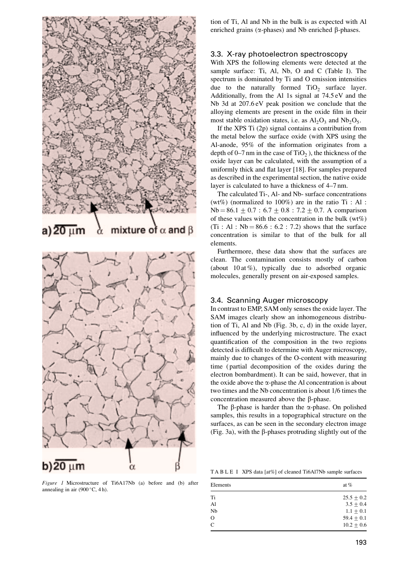

Figure 1 Microstructure of Ti6A17Nb (a) before and (b) after annealing in air  $(900 °C, 4 h)$ .

tion of Ti, Al and Nb in the bulk is as expected with Al enriched grains ( $\alpha$ -phases) and Nb enriched  $\beta$ -phases.

#### 3.3. X-ray photoelectron spectroscopy

With XPS the following elements were detected at the sample surface: Ti, Al, Nb, O and C (Table I). The spectrum is dominated by Ti and O emission intensities due to the naturally formed  $TiO<sub>2</sub>$  surface layer. Additionally, from the Al 1s signal at 74.5 eV and the Nb 3d at 207.6 eV peak position we conclude that the alloying elements are present in the oxide film in their most stable oxidation states, i.e. as  $Al_2O_3$  and  $Nb_2O_5$ .

If the XPS Ti (2p) signal contains a contribution from the metal below the surface oxide (with XPS using the Al-anode, 95% of the information originates from a depth of  $0-7$  nm in the case of TiO<sub>2</sub>, the thickness of the oxide layer can be calculated, with the assumption of a uniformly thick and flat layer  $[18]$ . For samples prepared as described in the experimental section, the native oxide layer is calculated to have a thickness of 4–7 nm.

The calculated Ti-, Al- and Nb- surface concentrations (wt%) (normalized to 100%) are in the ratio Ti : Al :  $Nb = 86.1 \pm 0.7$ :  $6.7 \pm 0.8$ :  $7.2 \pm 0.7$ . A comparison of these values with the concentration in the bulk  $(wt\%)$  $(Ti : Al : Nb = 86.6 : 6.2 : 7.2)$  shows that the surface concentration is similar to that of the bulk for all elements.

Furthermore, these data show that the surfaces are clean. The contamination consists mostly of carbon (about  $10$  at %), typically due to adsorbed organic molecules, generally present on air-exposed samples.

### 3.4. Scanning Auger microscopy

In contrast to EMP, SAM only senses the oxide layer. The SAM images clearly show an inhomogeneous distribution of Ti, Al and Nb (Fig. 3b, c, d) in the oxide layer, influenced by the underlying microstructure. The exact quantification of the composition in the two regions detected is difficult to determine with Auger microscopy, mainly due to changes of the O-content with measuring time ( partial decomposition of the oxides during the electron bombardment). It can be said, however, that in the oxide above the  $\alpha$ -phase the Al concentration is about two times and the Nb concentration is about 1/6 times the concentration measured above the  $\beta$ -phase.

The  $\beta$ -phase is harder than the  $\alpha$ -phase. On polished samples, this results in a topographical structure on the surfaces, as can be seen in the secondary electron image (Fig. 3a), with the  $\beta$ -phases protruding slightly out of the

TA B L E I XPS data [at%] of cleaned Ti6Al7Nb sample surfaces

| Elements       | at $%$         |
|----------------|----------------|
| Ti             | $25.5 \pm 0.2$ |
| A <sub>1</sub> | $3.5 + 0.4$    |
| Nb             | $1.1 \pm 0.1$  |
| $\circ$        | $59.4 + 0.1$   |
| $\mathcal{C}$  | $10.2 + 0.6$   |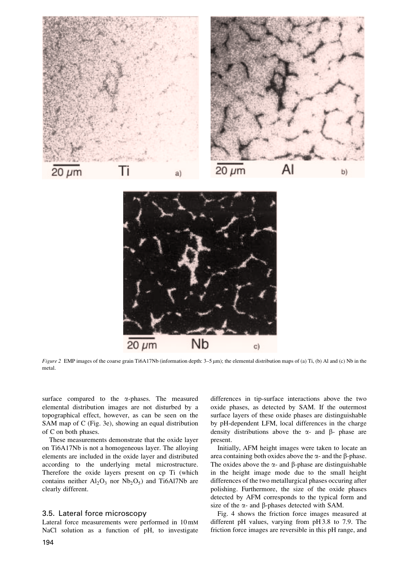

Figure 2 EMP images of the coarse grain Ti6A17Nb (information depth:  $3-5 \mu m$ ); the elemental distribution maps of (a) Ti, (b) Al and (c) Nb in the metal.

**Nb** 

surface compared to the  $\alpha$ -phases. The measured elemental distribution images are not disturbed by a topographical effect, however, as can be seen on the SAM map of C (Fig. 3e), showing an equal distribution of C on both phases.

 $20 \mu m$ 

These measurements demonstrate that the oxide layer on Ti6A17Nb is not a homogeneous layer. The alloying elements are included in the oxide layer and distributed according to the underlying metal microstructure. Therefore the oxide layers present on cp Ti (which contains neither  $Al_2O_3$  nor  $Nb_2O_5$ ) and Ti6Al7Nb are clearly different.

#### 3.5. Lateral force microscopy

Lateral force measurements were performed in 10 mM NaCl solution as a function of pH, to investigate

differences in tip-surface interactions above the two oxide phases, as detected by SAM. If the outermost surface layers of these oxide phases are distinguishable by pH-dependent LFM, local differences in the charge density distributions above the  $\alpha$ - and  $\beta$ - phase are present.

 $C)$ 

Initially, AFM height images were taken to locate an area containing both oxides above the  $\alpha$ - and the  $\beta$ -phase. The oxides above the  $\alpha$ - and  $\beta$ -phase are distinguishable in the height image mode due to the small height differences of the two metallurgical phases occuring after polishing. Furthermore, the size of the oxide phases detected by AFM corresponds to the typical form and size of the  $\alpha$ - and  $\beta$ -phases detected with SAM.

Fig. 4 shows the friction force images measured at different pH values, varying from pH 3.8 to 7.9. The friction force images are reversible in this pH range, and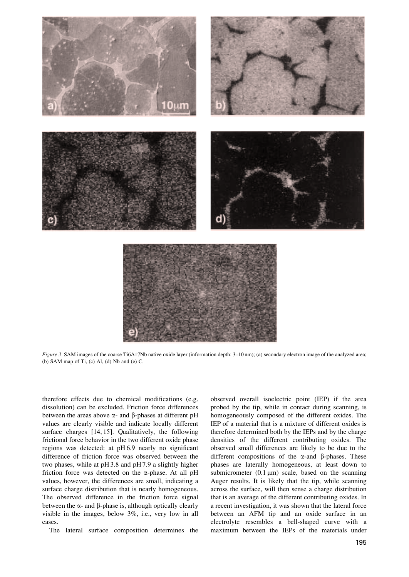

Figure 3 SAM images of the coarse Ti6A17Nb native oxide layer (information depth: 3-10 nm); (a) secondary electron image of the analyzed area; (b) SAM map of Ti,  $(c)$  Al,  $(d)$  Nb and  $(e)$  C.

therefore effects due to chemical modifications (e.g. dissolution) can be excluded. Friction force differences between the areas above  $\alpha$ - and  $\beta$ -phases at different pH values are clearly visible and indicate locally different surface charges [14, 15]. Qualitatively, the following frictional force behavior in the two different oxide phase regions was detected: at  $pH 6.9$  nearly no significant difference of friction force was observed between the two phases, while at pH 3.8 and pH 7.9 a slightly higher friction force was detected on the  $\alpha$ -phase. At all pH values, however, the differences are small, indicating a surface charge distribution that is nearly homogeneous. The observed difference in the friction force signal between the  $\alpha$ - and  $\beta$ -phase is, although optically clearly visible in the images, below 3%, i.e., very low in all cases.

The lateral surface composition determines the

observed overall isoelectric point (IEP) if the area probed by the tip, while in contact during scanning, is homogeneously composed of the different oxides. The IEP of a material that is a mixture of different oxides is therefore determined both by the IEPs and by the charge densities of the different contributing oxides. The observed small differences are likely to be due to the different compositions of the  $\alpha$ -and  $\beta$ -phases. These phases are laterally homogeneous, at least down to submicrometer  $(0.1 \,\mu\text{m})$  scale, based on the scanning Auger results. It is likely that the tip, while scanning across the surface, will then sense a charge distribution that is an average of the different contributing oxides. In a recent investigation, it was shown that the lateral force between an AFM tip and an oxide surface in an electrolyte resembles a bell-shaped curve with a maximum between the IEPs of the materials under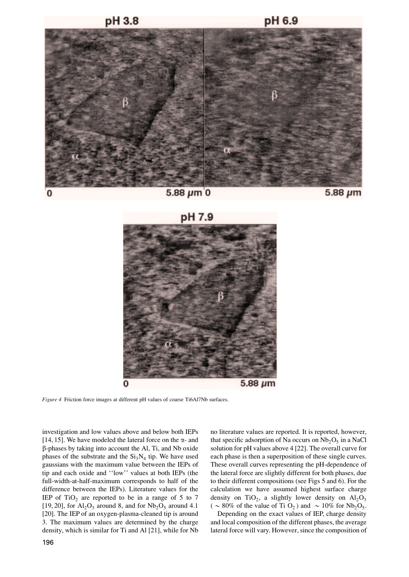

 $5.88 \mu m$  0







Figure 4 Friction force images at different pH values of coarse Ti6Al7Nb surfaces.

investigation and low values above and below both IEPs [14, 15]. We have modeled the lateral force on the  $\alpha$ - and  $\beta$ -phases by taking into account the Al, Ti, and Nb oxide phases of the substrate and the  $Si<sub>3</sub>N<sub>4</sub>$  tip. We have used gaussians with the maximum value between the IEPs of tip and each oxide and "low" values at both IEPs (the full-width-at-half-maximum corresponds to half of the difference between the IEPs). Literature values for the IEP of  $TiO<sub>2</sub>$  are reported to be in a range of 5 to 7 [19, 20], for  $Al_2O_3$  around 8, and for  $Nb_2O_5$  around 4.1 [20]. The IEP of an oxygen-plasma-cleaned tip is around 3. The maximum values are determined by the charge density, which is similar for Ti and Al [21], while for Nb no literature values are reported. It is reported, however, that specific adsorption of Na occurs on  $Nb<sub>2</sub>O<sub>5</sub>$  in a NaCl solution for pH values above 4 [22]. The overall curve for each phase is then a superposition of these single curves. These overall curves representing the pH-dependence of the lateral force are slightly different for both phases, due to their different compositions (see Figs 5 and 6). For the calculation we have assumed highest surface charge density on TiO<sub>2</sub>, a slightly lower density on  $Al_2O_3$ ( ~ 80% of the value of Ti O<sub>2</sub>) and ~ 10% for Nb<sub>2</sub>O<sub>5</sub>.

Depending on the exact values of IEP, charge density and local composition of the different phases, the average lateral force will vary. However, since the composition of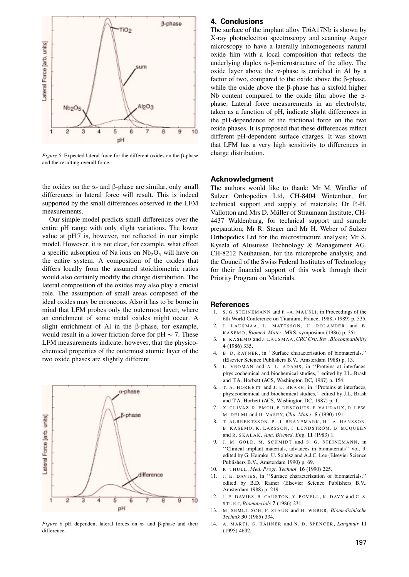

Figure 5 Expected lateral force for the different oxides on the  $\beta$ -phase and the resulting overall force.

the oxides on the  $\alpha$ - and  $\beta$ -phase are similar, only small differences in lateral force will result. This is indeed supported by the small differences observed in the LFM measurements.

Our simple model predicts small differences over the entire pH range with only slight variations. The lower value at  $pH7$  is, however, not reflected in our simple model. However, it is not clear, for example, what effect a specific adsorption of Na ions on  $Nb<sub>2</sub>O<sub>5</sub>$  will have on the entire system. A composition of the oxides that differs locally from the assumed stoichiometric ratios would also certainly modify the charge distribution. The lateral composition of the oxides may also play a crucial role. The assumption of small areas composed of the ideal oxides may be erroneous. Also it has to be borne in mind that LFM probes only the outermost layer, where an enrichment of some metal oxides might occur. A slight enrichment of Al in the  $\beta$ -phase, for example, would result in a lower friction force for pH  $\sim$  7. These LFM measurements indicate, however, that the physicochemical properties of the outermost atomic layer of the two oxide phases are slightly different.



Figure 6 pH dependent lateral forces on  $\alpha$ - and  $\beta$ -phase and their difference.

## 4. Conclusions

The surface of the implant alloy Ti6A17Nb is shown by X-ray photoelectron spectroscopy and scanning Auger microscopy to have a laterally inhomogeneous natural oxide film with a local composition that reflects the underlying duplex  $\alpha$ - $\beta$ -microstructure of the alloy. The oxide layer above the  $\alpha$ -phase is enriched in Al by a factor of two, compared to the oxide above the B-phase. while the oxide above the  $\beta$ -phase has a sixfold higher Nb content compared to the oxide film above the  $\alpha$ phase. Lateral force measurements in an electrolyte, taken as a function of pH, indicate slight differences in the pH-dependence of the frictional force on the two oxide phases. It is proposed that these differences reflect different pH-dependent surface charges. It was shown that LFM has a very high sensitivity to differences in charge distribution.

#### Acknowledgment

The authors would like to thank: Mr M. Windler of Sulzer Orthopedics Ltd, CH-8404 Winterthur, for technical support and supply of materials; Dr P.-H. Vallotton and Mrs D. Müller of Straumann Institute, CH-4437 Waldenburg, for technical support and sample preparation; Mr R. Steger and Mr H. Weber of Sulzer Orthopedics Ltd for the microstructure analysis; Mr S. Kysela of Alusuisse Technology & Management AG, CH-8212 Neuhausen, for the microprobe analysis; and the Council of the Swiss Federal Institutes of Technology for their financial support of this work through their Priority Program on Materials.

#### **References**

- 1. S. G. STEINEMANN and P. -A. MAÈ USLI, in Proceedings of the 6th World Conference on Titanium, France, 1988, (1989) p. 535.
- 2. J. LAUSMAA, L. MATTSSON, U. ROLANDER and B. KASEMO, Biomed. Mater. MRS; symposium (1986) p. 351.
- 3. B. KASEMO and J. LAUSMAA, CRC Crit. Rev. Biocompatibility 4 (1986) 335.
- 4. B. D. RATNER, in ``Surface characterisation of biomaterials,'' (Elsevier Science Publishers B.V., Amsterdam 1988) p. 13.
- 5. L. VROMAN and A. L. ADAMS, in "Proteins at interfaces, physicochemical and biochemical studies,'' edited by J.L. Brash and T.A. Horbett (ACS, Washington DC, 1987) p. 154.
- 6. T. A. HORBETT and J. L. BRASH, in "Proteins at interfaces, physicochemical and biochemical studies,'' edited by J.L. Brash and T.A. Horbett (ACS, Washington DC, 1987) p. 1.
- 7. X. CLIVAZ, R. EMCH, P. DESCOUTS, P. VAUDAUX, D. LEW, M. DELMI and H. VASEY, Clin. Mater. 5 (1990) 191.
- 8. T. ALBREKTSSON, P. I. BRÅNEMARK, H. A. HANSSON, B. KASEMO, K. LARSSON, I. LUNDSTRÖM, D. MCQUEEN and R. SKALAK , Ann. Biomed. Eng. 11 (1983) 1.
- 9. J. M. GOLD, M. SCHMIDT and S. G. STEINEMANN, in ``Clinical implant materials, advances in biomaterials'' vol. 9, edited by G. Heimke, U. Soltèsz and A.J.C. Lee (Elsevier Science Publishers B.V., Amsterdam 1990) p. 69.
- 10. R. THULL, Med. Progr. Technol. 16 (1990) 225.
- 11. J. E. DAVIES, in "Surface characterization of biomaterials," edited by B.D. Ratner (Elsevier Science Publishers B.V., Amsterdam 1988) p. 219.
- 12. J. E. DAVIES, B. CAUSTON, Y. BOVELL, K. DAVY and C. S. STURT, Biomaterials 7 (1986) 231.
- 13. M. SEMLITSCH, F. STAUB and H. WEBER, Biomedizinische Technik 30 (1985) 334.
- 14. A. MARTI, G. HÄHNER and N. D. SPENCER, Langmuir 11 (1995) 4632.